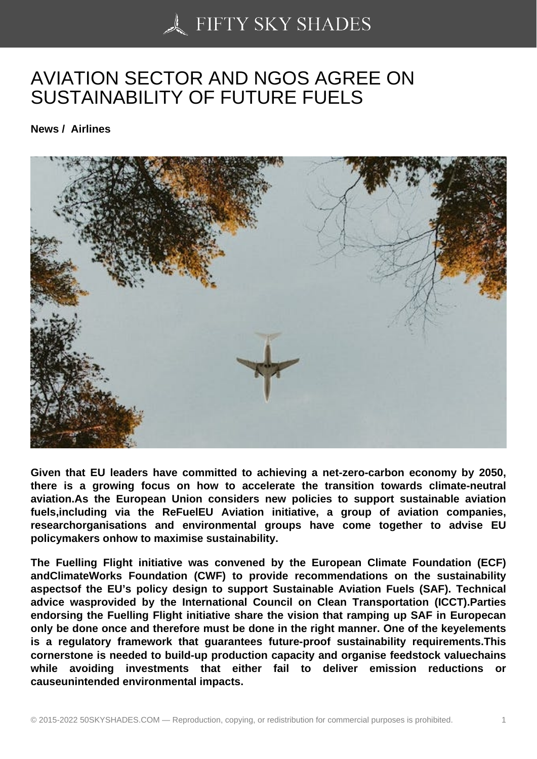## [AVIATION SECTOR A](https://50skyshades.com)ND NGOS AGREE ON SUSTAINABILITY OF FUTURE FUELS

News / Airlines

Given that EU leaders have committed to achieving a net-zero-carbon economy by 2050, there is a growing focus on how to accelerate the transition towards climate-neutral aviation.As the European Union considers new policies to support sustainable aviation fuels,including via the ReFuelEU Aviation initiative, a group of aviation companies, researchorganisations and environmental groups have come together to advise EU policymakers onhow to maximise sustainability.

The Fuelling Flight initiative was convened by the European Climate Foundation (ECF) andClimateWorks Foundation (CWF) to provide recommendations on the sustainability aspectsof the EU's policy design to support Sustainable Aviation Fuels (SAF). Technical advice wasprovided by the International Council on Clean Transportation (ICCT).Parties endorsing the Fuelling Flight initiative share the vision that ramping up SAF in Europecan only be done once and therefore must be done in the right manner. One of the keyelements is a regulatory framework that guarantees future-proof sustainability requirements.This cornerstone is needed to build-up production capacity and organise feedstock valuechains while avoiding investments that either fail to deliver emission reductions or causeunintended environmental impacts.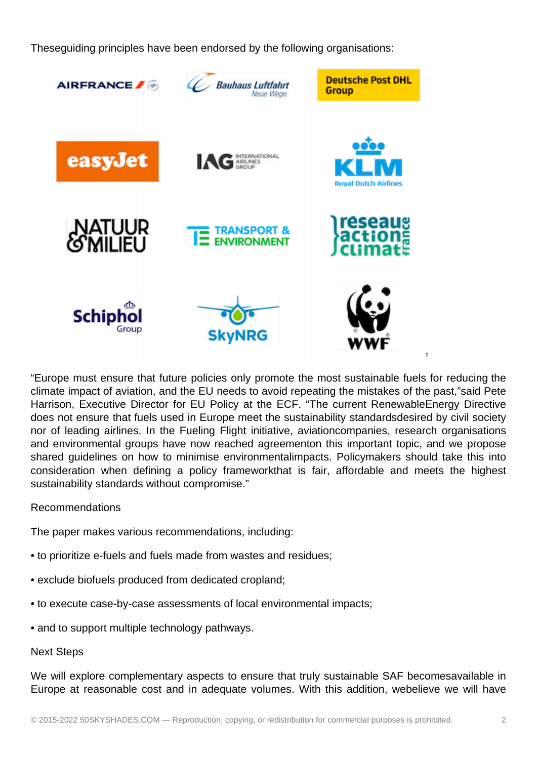Theseguiding principles have been endorsed by the following organisations:



"Europe must ensure that future policies only promote the most sustainable fuels for reducing the climate impact of aviation, and the EU needs to avoid repeating the mistakes of the past,"said Pete Harrison, Executive Director for EU Policy at the ECF. "The current RenewableEnergy Directive does not ensure that fuels used in Europe meet the sustainability standardsdesired by civil society nor of leading airlines. In the Fueling Flight initiative, aviationcompanies, research organisations and environmental groups have now reached agreementon this important topic, and we propose shared guidelines on how to minimise environmentalimpacts. Policymakers should take this into consideration when defining a policy frameworkthat is fair, affordable and meets the highest sustainability standards without compromise."

## Recommendations

The paper makes various recommendations, including:

- to prioritize e-fuels and fuels made from wastes and residues;
- exclude biofuels produced from dedicated cropland;
- to execute case-by-case assessments of local environmental impacts;
- and to support multiple technology pathways.

## Next Steps

We will explore complementary aspects to ensure that truly sustainable SAF becomesavailable in Europe at reasonable cost and in adequate volumes. With this addition, webelieve we will have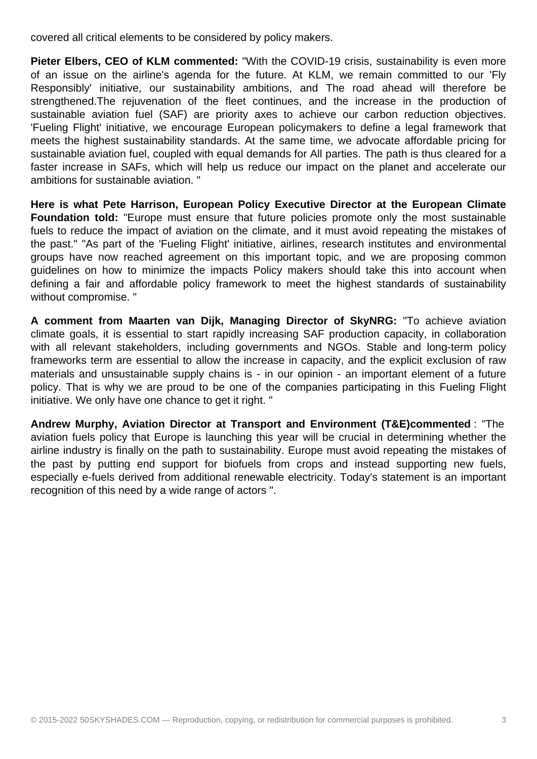covered all critical elements to be considered by policy makers.

**Pieter Elbers, CEO of KLM commented:** "With the COVID-19 crisis, sustainability is even more of an issue on the airline's agenda for the future. At KLM, we remain committed to our 'Fly Responsibly' initiative, our sustainability ambitions, and The road ahead will therefore be strengthened.The rejuvenation of the fleet continues, and the increase in the production of sustainable aviation fuel (SAF) are priority axes to achieve our carbon reduction objectives. 'Fueling Flight' initiative, we encourage European policymakers to define a legal framework that meets the highest sustainability standards. At the same time, we advocate affordable pricing for sustainable aviation fuel, coupled with equal demands for All parties. The path is thus cleared for a faster increase in SAFs, which will help us reduce our impact on the planet and accelerate our ambitions for sustainable aviation. "

**Here is what Pete Harrison, European Policy Executive Director at the European Climate Foundation told:** "Europe must ensure that future policies promote only the most sustainable fuels to reduce the impact of aviation on the climate, and it must avoid repeating the mistakes of the past." "As part of the 'Fueling Flight' initiative, airlines, research institutes and environmental groups have now reached agreement on this important topic, and we are proposing common guidelines on how to minimize the impacts Policy makers should take this into account when defining a fair and affordable policy framework to meet the highest standards of sustainability without compromise. "

**A comment from Maarten van Dijk, Managing Director of SkyNRG:** "To achieve aviation climate goals, it is essential to start rapidly increasing SAF production capacity, in collaboration with all relevant stakeholders, including governments and NGOs. Stable and long-term policy frameworks term are essential to allow the increase in capacity, and the explicit exclusion of raw materials and unsustainable supply chains is - in our opinion - an important element of a future policy. That is why we are proud to be one of the companies participating in this Fueling Flight initiative. We only have one chance to get it right. "

**Andrew Murphy, Aviation Director at Transport and Environment (T&E)commented** : "The aviation fuels policy that Europe is launching this year will be crucial in determining whether the airline industry is finally on the path to sustainability. Europe must avoid repeating the mistakes of the past by putting end support for biofuels from crops and instead supporting new fuels, especially e-fuels derived from additional renewable electricity. Today's statement is an important recognition of this need by a wide range of actors ".